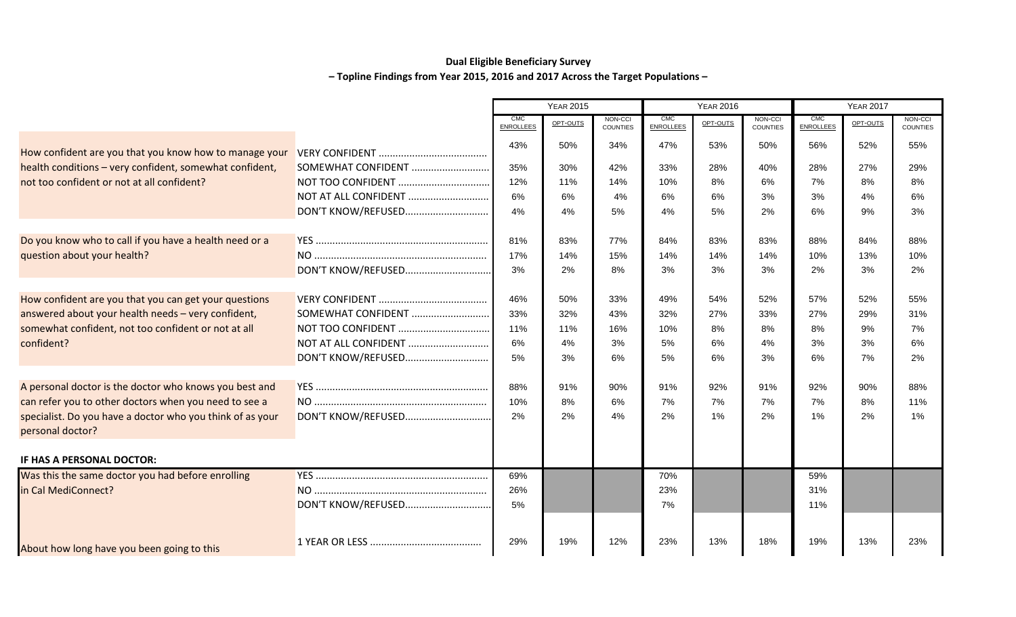## **Dual Eligible Beneficiary Survey – Topline Findings from Year 2015, 2016 and 2017 Across the Target Populations –**

|                                                                               |                      |                                | <b>YEAR 2015</b>                       |     | <b>YEAR 2016</b>               |          |                            | <b>YEAR 2017</b>               |          |                            |
|-------------------------------------------------------------------------------|----------------------|--------------------------------|----------------------------------------|-----|--------------------------------|----------|----------------------------|--------------------------------|----------|----------------------------|
|                                                                               |                      | <b>CMC</b><br><b>ENROLLEES</b> | NON-CCI<br>OPT-OUTS<br><b>COUNTIES</b> |     | <b>CMC</b><br><b>ENROLLEES</b> | OPT-OUTS | NON-CCI<br><b>COUNTIES</b> | <b>CMC</b><br><b>ENROLLEES</b> | OPT-OUTS | NON-CCI<br><b>COUNTIES</b> |
| How confident are you that you know how to manage your                        |                      | 43%                            | 50%                                    | 34% | 47%                            | 53%      | 50%                        | 56%                            | 52%      | 55%                        |
| health conditions - very confident, somewhat confident,                       | SOMEWHAT CONFIDENT   | 35%                            | 30%                                    | 42% | 33%                            | 28%      | 40%                        | 28%                            | 27%      | 29%                        |
| not too confident or not at all confident?                                    | NOT TOO CONFIDENT    | 12%                            | 11%                                    | 14% | 10%                            | 8%       | 6%                         | 7%                             | 8%       | 8%                         |
|                                                                               | NOT AT ALL CONFIDENT | 6%                             | 6%                                     | 4%  | 6%                             | 6%       | 3%                         | 3%                             | 4%       | 6%                         |
|                                                                               | DON'T KNOW/REFUSED   | 4%                             | 4%                                     | 5%  | 4%                             | 5%       | 2%                         | 6%                             | 9%       | 3%                         |
| Do you know who to call if you have a health need or a                        |                      | 81%                            | 83%                                    | 77% | 84%                            | 83%      | 83%                        | 88%                            | 84%      | 88%                        |
| question about your health?                                                   |                      | 17%                            | 14%                                    | 15% | 14%                            | 14%      | 14%                        | 10%                            | 13%      | 10%                        |
|                                                                               | DON'T KNOW/REFUSED   | 3%                             | 2%                                     | 8%  | 3%                             | 3%       | 3%                         | 2%                             | 3%       | 2%                         |
| How confident are you that you can get your questions                         |                      | 46%                            | 50%                                    | 33% | 49%                            | 54%      | 52%                        | 57%                            | 52%      | 55%                        |
| answered about your health needs - very confident,                            | SOMEWHAT CONFIDENT   | 33%                            | 32%                                    | 43% | 32%                            | 27%      | 33%                        | 27%                            | 29%      | 31%                        |
| somewhat confident, not too confident or not at all                           | NOT TOO CONFIDENT    | 11%                            | 11%                                    | 16% | 10%                            | 8%       | 8%                         | 8%                             | 9%       | 7%                         |
| confident?                                                                    | NOT AT ALL CONFIDENT | 6%                             | 4%                                     | 3%  | 5%                             | 6%       | 4%                         | 3%                             | 3%       | 6%                         |
|                                                                               | DON'T KNOW/REFUSED   | 5%                             | 3%                                     | 6%  | 5%                             | 6%       | 3%                         | 6%                             | 7%       | 2%                         |
| A personal doctor is the doctor who knows you best and                        |                      | 88%                            | 91%                                    | 90% | 91%                            | 92%      | 91%                        | 92%                            | 90%      | 88%                        |
| can refer you to other doctors when you need to see a                         |                      | 10%                            | 8%                                     | 6%  | 7%                             | 7%       | 7%                         | 7%                             | 8%       | 11%                        |
| specialist. Do you have a doctor who you think of as your<br>personal doctor? | DON'T KNOW/REFUSED   | 2%                             | 2%                                     | 4%  | 2%                             | 1%       | 2%                         | 1%                             | 2%       | 1%                         |
|                                                                               |                      |                                |                                        |     |                                |          |                            |                                |          |                            |
| IF HAS A PERSONAL DOCTOR:                                                     |                      |                                |                                        |     |                                |          |                            |                                |          |                            |
| Was this the same doctor you had before enrolling                             |                      | 69%                            |                                        |     | 70%                            |          |                            | 59%                            |          |                            |
| in Cal MediConnect?                                                           |                      | 26%                            |                                        |     | 23%                            |          |                            | 31%                            |          |                            |
|                                                                               | DON'T KNOW/REFUSED   | 5%                             |                                        |     | 7%                             |          |                            | 11%                            |          |                            |
| About how long have you been going to this                                    |                      | 29%                            | 19%                                    | 12% | 23%                            | 13%      | 18%                        | 19%                            | 13%      | 23%                        |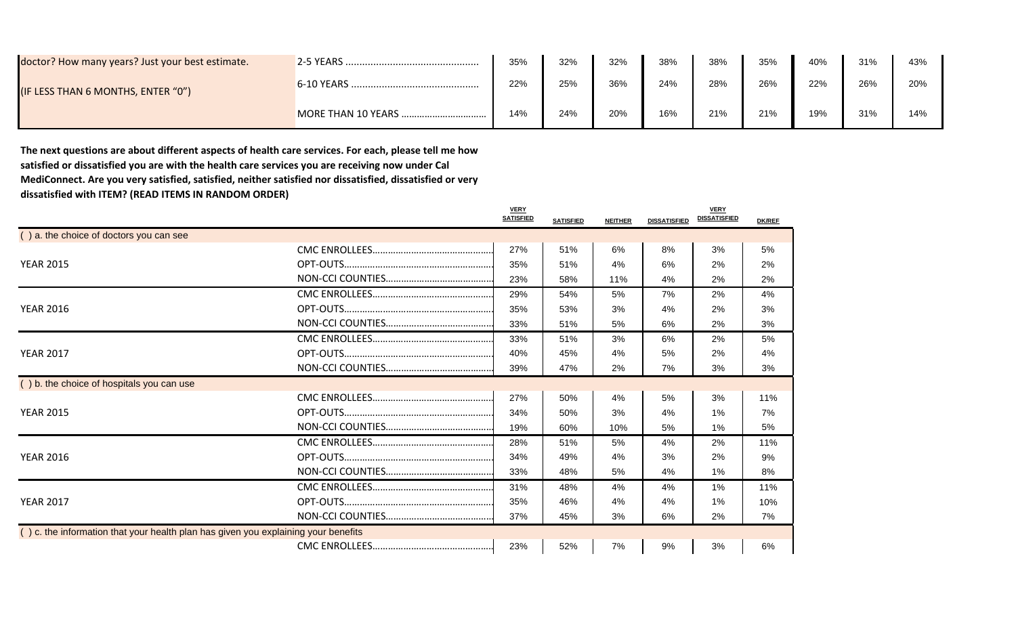| doctor? How many years? Just your best estimate. | $2-5$ YEARS. | 35% | 32% | 32% | 38% | 38% | 35% | 40% | 31% | 43% |
|--------------------------------------------------|--------------|-----|-----|-----|-----|-----|-----|-----|-----|-----|
| (IF LESS THAN 6 MONTHS, ENTER "0")               | 6-10 YEARS   | 22% | 25% | 36% | 24% | 28% | 26% | 22% | 26% | 20% |
|                                                  |              | 14% | 24% | 20% | 16% | 21% | 21% | 19% | 31% | 14% |

**The next questions are about different aspects of health care services. For each, please tell me how satisfied or dissatisfied you are with the health care services you are receiving now under Cal MediConnect. Are you very satisfied, satisfied, neither satisfied nor dissatisfied, dissatisfied or very dissatisfied with ITEM? (READ ITEMS IN RANDOM ORDER)**

|                                                                                    | <b>VERY</b><br><b>SATISFIED</b> | <b>SATISFIED</b> | <b>NEITHER</b> | <b>DISSATISFIED</b> | <b>VERY</b><br><b>DISSATISFIED</b> | <b>DK/REF</b> |
|------------------------------------------------------------------------------------|---------------------------------|------------------|----------------|---------------------|------------------------------------|---------------|
| () a. the choice of doctors you can see                                            |                                 |                  |                |                     |                                    |               |
|                                                                                    | 27%                             | 51%              | 6%             | 8%                  | 3%                                 | 5%            |
| <b>YEAR 2015</b>                                                                   | 35%                             | 51%              | 4%             | 6%                  | 2%                                 | 2%            |
|                                                                                    | 23%                             | 58%              | 11%            | 4%                  | 2%                                 | 2%            |
|                                                                                    | 29%                             | 54%              | 5%             | 7%                  | 2%                                 | 4%            |
| <b>YEAR 2016</b>                                                                   | 35%                             | 53%              | 3%             | 4%                  | 2%                                 | 3%            |
|                                                                                    | 33%                             | 51%              | 5%             | 6%                  | 2%                                 | 3%            |
|                                                                                    | 33%                             | 51%              | 3%             | 6%                  | 2%                                 | 5%            |
| <b>YEAR 2017</b>                                                                   | 40%                             | 45%              | 4%             | 5%                  | 2%                                 | 4%            |
|                                                                                    | 39%                             | 47%              | 2%             | 7%                  | 3%                                 | 3%            |
| () b. the choice of hospitals you can use                                          |                                 |                  |                |                     |                                    |               |
|                                                                                    | 27%                             | 50%              | 4%             | 5%                  | 3%                                 | 11%           |
| <b>YEAR 2015</b>                                                                   | 34%                             | 50%              | 3%             | 4%                  | 1%                                 | 7%            |
|                                                                                    | 19%                             | 60%              | 10%            | 5%                  | $1\%$                              | 5%            |
|                                                                                    | 28%                             | 51%              | 5%             | 4%                  | 2%                                 | 11%           |
| <b>YEAR 2016</b>                                                                   | 34%                             | 49%              | 4%             | 3%                  | 2%                                 | 9%            |
|                                                                                    | 33%                             | 48%              | 5%             | 4%                  | $1\%$                              | 8%            |
|                                                                                    | 31%                             | 48%              | 4%             | 4%                  | 1%                                 | 11%           |
| <b>YEAR 2017</b>                                                                   | 35%                             | 46%              | 4%             | 4%                  | $1\%$                              | 10%           |
|                                                                                    | 37%                             | 45%              | 3%             | 6%                  | 2%                                 | 7%            |
| () c. the information that your health plan has given you explaining your benefits |                                 |                  |                |                     |                                    |               |
|                                                                                    | 23%                             | 52%              | 7%             | 9%                  | 3%                                 | 6%            |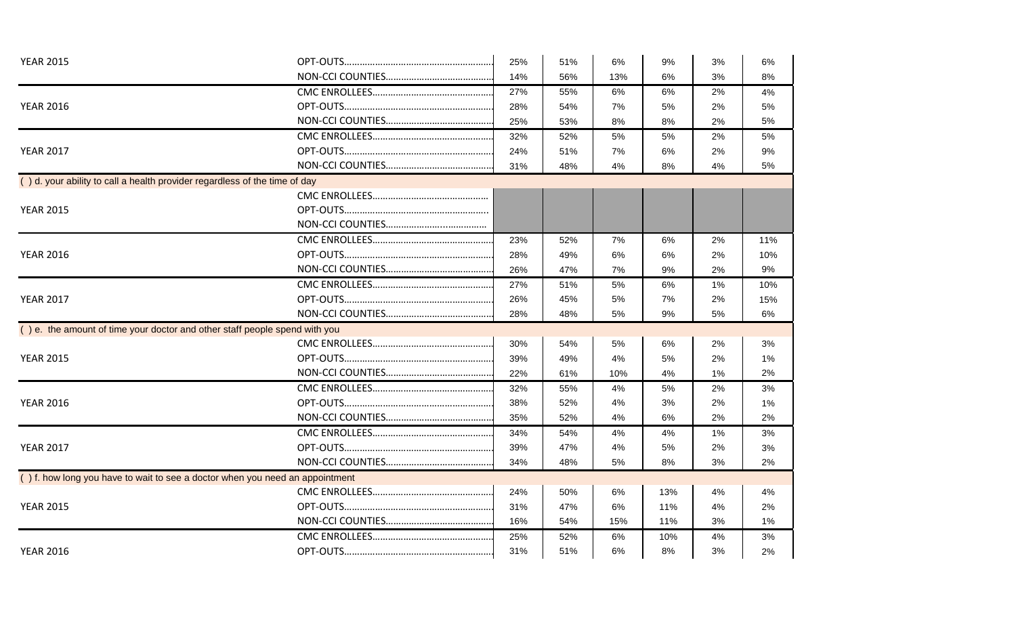| 14%<br>56%<br>13%<br>6%<br>3%<br>27%<br>55%<br>6%<br>6%<br>2%<br><b>YEAR 2016</b><br>28%<br>54%<br>7%<br>5%<br>2%<br>25%<br>53%<br>8%<br>8%<br>2%<br>32%<br>52%<br>5%<br>5%<br>2%<br><b>YEAR 2017</b><br>24%<br>51%<br>7%<br>6%<br>2%<br>31%<br>48%<br>4%<br>8%<br>4%<br>() d. your ability to call a health provider regardless of the time of day<br><b>YEAR 2015</b><br>23%<br>52%<br>7%<br>6%<br>2%<br><b>YEAR 2016</b><br>28%<br>49%<br>6%<br>6%<br>2%<br>26%<br>47%<br>9%<br>7%<br>2%<br>27%<br>5%<br>6%<br>51%<br>1%<br><b>YEAR 2017</b><br>26%<br>45%<br>5%<br>7%<br>2%<br>9%<br>28%<br>48%<br>5%<br>5%<br>() e. the amount of time your doctor and other staff people spend with you<br>30%<br>54%<br>5%<br>6%<br>2%<br>39%<br>49%<br>5%<br><b>YEAR 2015</b><br>4%<br>2%<br>22%<br>61%<br>10%<br>4%<br>1%<br>32%<br>55%<br>2%<br>4%<br>5%<br><b>YEAR 2016</b><br>38%<br>52%<br>3%<br>4%<br>2%<br>35%<br>52%<br>4%<br>6%<br>2%<br>34%<br>54%<br>4%<br>4%<br>1%<br><b>YEAR 2017</b><br>39%<br>47%<br>4%<br>5%<br>2%<br>34%<br>48%<br>8%<br>5%<br>3%<br>$( )$ f. how long you have to wait to see a doctor when you need an appointment<br>24%<br>50%<br>6%<br>13%<br>4%<br>31%<br><b>YEAR 2015</b><br>47%<br>6%<br>11%<br>4%<br>16%<br>54%<br>15%<br>11%<br>3%<br>25%<br>52%<br>6%<br>10%<br>4%<br><b>YEAR 2016</b><br>31%<br>51%<br>8%<br>6%<br>3% | <b>YEAR 2015</b> |  | 25% | 51% | 6% | 9% | 3% | 6%    |
|------------------------------------------------------------------------------------------------------------------------------------------------------------------------------------------------------------------------------------------------------------------------------------------------------------------------------------------------------------------------------------------------------------------------------------------------------------------------------------------------------------------------------------------------------------------------------------------------------------------------------------------------------------------------------------------------------------------------------------------------------------------------------------------------------------------------------------------------------------------------------------------------------------------------------------------------------------------------------------------------------------------------------------------------------------------------------------------------------------------------------------------------------------------------------------------------------------------------------------------------------------------------------------------------------------------------------------------------------------|------------------|--|-----|-----|----|----|----|-------|
|                                                                                                                                                                                                                                                                                                                                                                                                                                                                                                                                                                                                                                                                                                                                                                                                                                                                                                                                                                                                                                                                                                                                                                                                                                                                                                                                                            |                  |  |     |     |    |    |    | 8%    |
|                                                                                                                                                                                                                                                                                                                                                                                                                                                                                                                                                                                                                                                                                                                                                                                                                                                                                                                                                                                                                                                                                                                                                                                                                                                                                                                                                            |                  |  |     |     |    |    |    | 4%    |
|                                                                                                                                                                                                                                                                                                                                                                                                                                                                                                                                                                                                                                                                                                                                                                                                                                                                                                                                                                                                                                                                                                                                                                                                                                                                                                                                                            |                  |  |     |     |    |    |    | 5%    |
|                                                                                                                                                                                                                                                                                                                                                                                                                                                                                                                                                                                                                                                                                                                                                                                                                                                                                                                                                                                                                                                                                                                                                                                                                                                                                                                                                            |                  |  |     |     |    |    |    | 5%    |
|                                                                                                                                                                                                                                                                                                                                                                                                                                                                                                                                                                                                                                                                                                                                                                                                                                                                                                                                                                                                                                                                                                                                                                                                                                                                                                                                                            |                  |  |     |     |    |    |    | 5%    |
|                                                                                                                                                                                                                                                                                                                                                                                                                                                                                                                                                                                                                                                                                                                                                                                                                                                                                                                                                                                                                                                                                                                                                                                                                                                                                                                                                            |                  |  |     |     |    |    |    | 9%    |
|                                                                                                                                                                                                                                                                                                                                                                                                                                                                                                                                                                                                                                                                                                                                                                                                                                                                                                                                                                                                                                                                                                                                                                                                                                                                                                                                                            |                  |  |     |     |    |    |    | 5%    |
|                                                                                                                                                                                                                                                                                                                                                                                                                                                                                                                                                                                                                                                                                                                                                                                                                                                                                                                                                                                                                                                                                                                                                                                                                                                                                                                                                            |                  |  |     |     |    |    |    |       |
|                                                                                                                                                                                                                                                                                                                                                                                                                                                                                                                                                                                                                                                                                                                                                                                                                                                                                                                                                                                                                                                                                                                                                                                                                                                                                                                                                            |                  |  |     |     |    |    |    |       |
|                                                                                                                                                                                                                                                                                                                                                                                                                                                                                                                                                                                                                                                                                                                                                                                                                                                                                                                                                                                                                                                                                                                                                                                                                                                                                                                                                            |                  |  |     |     |    |    |    |       |
|                                                                                                                                                                                                                                                                                                                                                                                                                                                                                                                                                                                                                                                                                                                                                                                                                                                                                                                                                                                                                                                                                                                                                                                                                                                                                                                                                            |                  |  |     |     |    |    |    |       |
|                                                                                                                                                                                                                                                                                                                                                                                                                                                                                                                                                                                                                                                                                                                                                                                                                                                                                                                                                                                                                                                                                                                                                                                                                                                                                                                                                            |                  |  |     |     |    |    |    | 11%   |
|                                                                                                                                                                                                                                                                                                                                                                                                                                                                                                                                                                                                                                                                                                                                                                                                                                                                                                                                                                                                                                                                                                                                                                                                                                                                                                                                                            |                  |  |     |     |    |    |    | 10%   |
|                                                                                                                                                                                                                                                                                                                                                                                                                                                                                                                                                                                                                                                                                                                                                                                                                                                                                                                                                                                                                                                                                                                                                                                                                                                                                                                                                            |                  |  |     |     |    |    |    | 9%    |
|                                                                                                                                                                                                                                                                                                                                                                                                                                                                                                                                                                                                                                                                                                                                                                                                                                                                                                                                                                                                                                                                                                                                                                                                                                                                                                                                                            |                  |  |     |     |    |    |    | 10%   |
|                                                                                                                                                                                                                                                                                                                                                                                                                                                                                                                                                                                                                                                                                                                                                                                                                                                                                                                                                                                                                                                                                                                                                                                                                                                                                                                                                            |                  |  |     |     |    |    |    | 15%   |
|                                                                                                                                                                                                                                                                                                                                                                                                                                                                                                                                                                                                                                                                                                                                                                                                                                                                                                                                                                                                                                                                                                                                                                                                                                                                                                                                                            |                  |  |     |     |    |    |    | 6%    |
|                                                                                                                                                                                                                                                                                                                                                                                                                                                                                                                                                                                                                                                                                                                                                                                                                                                                                                                                                                                                                                                                                                                                                                                                                                                                                                                                                            |                  |  |     |     |    |    |    |       |
|                                                                                                                                                                                                                                                                                                                                                                                                                                                                                                                                                                                                                                                                                                                                                                                                                                                                                                                                                                                                                                                                                                                                                                                                                                                                                                                                                            |                  |  |     |     |    |    |    | 3%    |
|                                                                                                                                                                                                                                                                                                                                                                                                                                                                                                                                                                                                                                                                                                                                                                                                                                                                                                                                                                                                                                                                                                                                                                                                                                                                                                                                                            |                  |  |     |     |    |    |    | 1%    |
|                                                                                                                                                                                                                                                                                                                                                                                                                                                                                                                                                                                                                                                                                                                                                                                                                                                                                                                                                                                                                                                                                                                                                                                                                                                                                                                                                            |                  |  |     |     |    |    |    | 2%    |
|                                                                                                                                                                                                                                                                                                                                                                                                                                                                                                                                                                                                                                                                                                                                                                                                                                                                                                                                                                                                                                                                                                                                                                                                                                                                                                                                                            |                  |  |     |     |    |    |    | 3%    |
|                                                                                                                                                                                                                                                                                                                                                                                                                                                                                                                                                                                                                                                                                                                                                                                                                                                                                                                                                                                                                                                                                                                                                                                                                                                                                                                                                            |                  |  |     |     |    |    |    | 1%    |
|                                                                                                                                                                                                                                                                                                                                                                                                                                                                                                                                                                                                                                                                                                                                                                                                                                                                                                                                                                                                                                                                                                                                                                                                                                                                                                                                                            |                  |  |     |     |    |    |    | 2%    |
|                                                                                                                                                                                                                                                                                                                                                                                                                                                                                                                                                                                                                                                                                                                                                                                                                                                                                                                                                                                                                                                                                                                                                                                                                                                                                                                                                            |                  |  |     |     |    |    |    | 3%    |
|                                                                                                                                                                                                                                                                                                                                                                                                                                                                                                                                                                                                                                                                                                                                                                                                                                                                                                                                                                                                                                                                                                                                                                                                                                                                                                                                                            |                  |  |     |     |    |    |    | 3%    |
|                                                                                                                                                                                                                                                                                                                                                                                                                                                                                                                                                                                                                                                                                                                                                                                                                                                                                                                                                                                                                                                                                                                                                                                                                                                                                                                                                            |                  |  |     |     |    |    |    | 2%    |
|                                                                                                                                                                                                                                                                                                                                                                                                                                                                                                                                                                                                                                                                                                                                                                                                                                                                                                                                                                                                                                                                                                                                                                                                                                                                                                                                                            |                  |  |     |     |    |    |    |       |
|                                                                                                                                                                                                                                                                                                                                                                                                                                                                                                                                                                                                                                                                                                                                                                                                                                                                                                                                                                                                                                                                                                                                                                                                                                                                                                                                                            |                  |  |     |     |    |    |    | 4%    |
|                                                                                                                                                                                                                                                                                                                                                                                                                                                                                                                                                                                                                                                                                                                                                                                                                                                                                                                                                                                                                                                                                                                                                                                                                                                                                                                                                            |                  |  |     |     |    |    |    | 2%    |
|                                                                                                                                                                                                                                                                                                                                                                                                                                                                                                                                                                                                                                                                                                                                                                                                                                                                                                                                                                                                                                                                                                                                                                                                                                                                                                                                                            |                  |  |     |     |    |    |    | $1\%$ |
|                                                                                                                                                                                                                                                                                                                                                                                                                                                                                                                                                                                                                                                                                                                                                                                                                                                                                                                                                                                                                                                                                                                                                                                                                                                                                                                                                            |                  |  |     |     |    |    |    | 3%    |
|                                                                                                                                                                                                                                                                                                                                                                                                                                                                                                                                                                                                                                                                                                                                                                                                                                                                                                                                                                                                                                                                                                                                                                                                                                                                                                                                                            |                  |  |     |     |    |    |    | 2%    |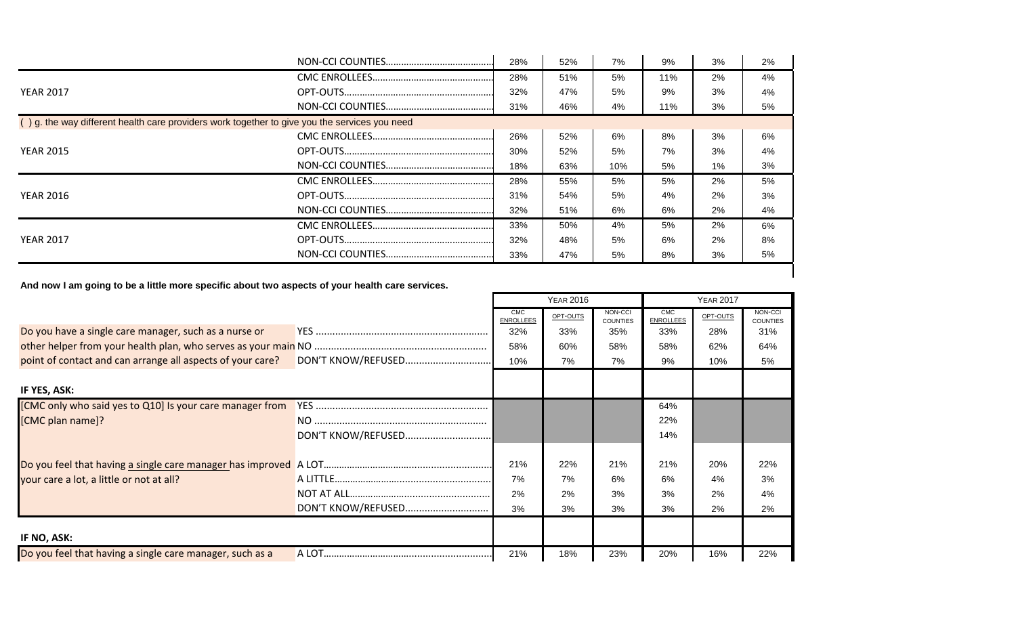|                                                                                               | 28% | 52% | 7%  | 9%    | 3%    | 2%    |
|-----------------------------------------------------------------------------------------------|-----|-----|-----|-------|-------|-------|
|                                                                                               | 28% | 51% | 5%  | 11%   | 2%    | $4\%$ |
| <b>YEAR 2017</b>                                                                              | 32% | 47% | 5%  | 9%    | 3%    | 4%    |
|                                                                                               | 31% | 46% | 4%  | 11%   | 3%    | 5%    |
| () g. the way different health care providers work together to give you the services you need |     |     |     |       |       |       |
|                                                                                               | 26% | 52% | 6%  | 8%    | 3%    | 6%    |
| <b>YEAR 2015</b>                                                                              | 30% | 52% | 5%  | 7%    | 3%    | 4%    |
|                                                                                               | 18% | 63% | 10% | 5%    | $1\%$ | 3%    |
|                                                                                               | 28% | 55% | 5%  | 5%    | 2%    | 5%    |
| <b>YEAR 2016</b>                                                                              | 31% | 54% | 5%  | $4\%$ | 2%    | 3%    |
|                                                                                               | 32% | 51% | 6%  | 6%    | 2%    | 4%    |
|                                                                                               | 33% | 50% | 4%  | 5%    | 2%    | 6%    |
| <b>YEAR 2017</b>                                                                              | 32% | 48% | 5%  | 6%    | 2%    | 8%    |
|                                                                                               | 33% | 47% | 5%  | 8%    | 3%    | 5%    |

**And now I am going to be a little more specific about two aspects of your health care services.**

|                                                            |                    |                                | <b>YEAR 2016</b> |                            | <b>YEAR 2017</b>        |          |                            |  |
|------------------------------------------------------------|--------------------|--------------------------------|------------------|----------------------------|-------------------------|----------|----------------------------|--|
|                                                            |                    | <b>CMC</b><br><b>ENROLLEES</b> | OPT-OUTS         | NON-CCI<br><b>COUNTIES</b> | CMC<br><b>ENROLLEES</b> | OPT-OUTS | NON-CCI<br><b>COUNTIES</b> |  |
| Do you have a single care manager, such as a nurse or      |                    | 32%                            | 33%              | 35%                        | 33%                     | 28%      | 31%                        |  |
|                                                            |                    | 58%                            | 60%              | 58%                        | 58%                     | 62%      | 64%                        |  |
| point of contact and can arrange all aspects of your care? | DON'T KNOW/REFUSED | 10%                            | 7%               | 7%                         | 9%                      | 10%      | 5%                         |  |
|                                                            |                    |                                |                  |                            |                         |          |                            |  |
| IF YES, ASK:                                               |                    |                                |                  |                            |                         |          |                            |  |
| [CMC only who said yes to Q10] Is your care manager from   |                    |                                |                  |                            | 64%                     |          |                            |  |
| [CMC plan name]?                                           |                    |                                |                  |                            | 22%                     |          |                            |  |
|                                                            |                    |                                |                  |                            | 14%                     |          |                            |  |
|                                                            |                    |                                |                  |                            |                         |          |                            |  |
|                                                            |                    | 21%                            | 22%              | 21%                        | 21%                     | 20%      | 22%                        |  |
| your care a lot, a little or not at all?                   |                    | 7%                             | 7%               | 6%                         | 6%                      | 4%       | 3%                         |  |
|                                                            |                    | 2%                             | 2%               | 3%                         | 3%                      | 2%       | 4%                         |  |
|                                                            | DON'T KNOW/REFUSED | 3%                             | 3%               | 3%                         | 3%                      | 2%       | 2%                         |  |
|                                                            |                    |                                |                  |                            |                         |          |                            |  |
| IF NO, ASK:                                                |                    |                                |                  |                            |                         |          |                            |  |
| Do you feel that having a single care manager, such as a   |                    | 21%                            | 18%              | 23%                        | 20%                     | 16%      | 22%                        |  |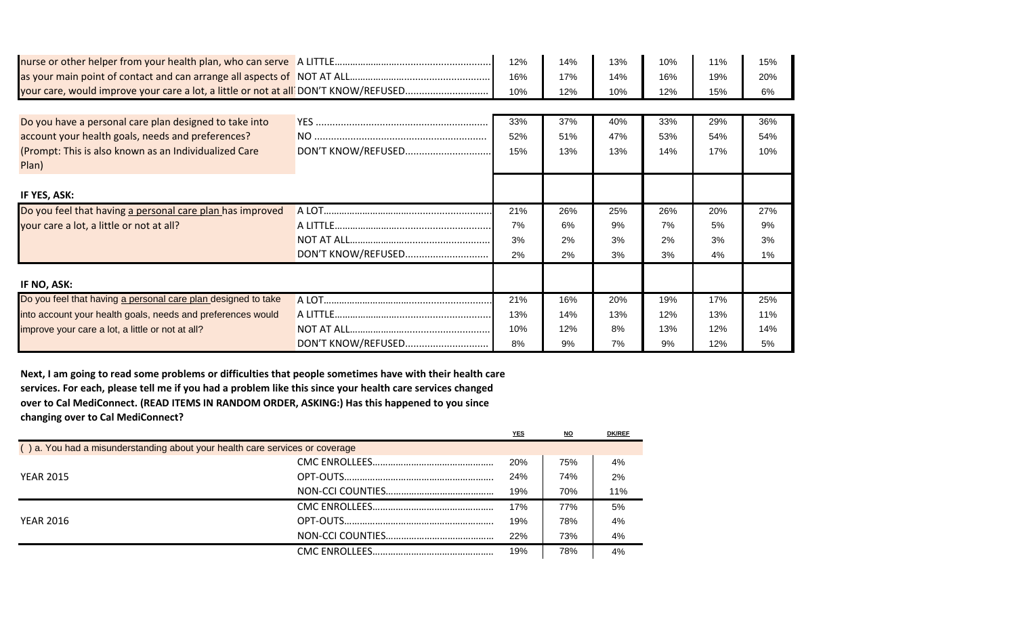|                                                                                     |                    | 12% | 14% | 13% | 10% | 11% | 15% |
|-------------------------------------------------------------------------------------|--------------------|-----|-----|-----|-----|-----|-----|
|                                                                                     |                    | 16% | 17% | 14% | 16% | 19% | 20% |
| your care, would improve your care a lot, a little or not at all DON'T KNOW/REFUSED |                    | 10% | 12% | 10% | 12% | 15% | 6%  |
|                                                                                     |                    |     |     |     |     |     |     |
| Do you have a personal care plan designed to take into                              |                    | 33% | 37% | 40% | 33% | 29% | 36% |
| account your health goals, needs and preferences?                                   |                    | 52% | 51% | 47% | 53% | 54% | 54% |
| (Prompt: This is also known as an Individualized Care<br>Plan)                      | DON'T KNOW/REFUSED | 15% | 13% | 13% | 14% | 17% | 10% |
| IF YES, ASK:                                                                        |                    |     |     |     |     |     |     |
| Do you feel that having a personal care plan has improved                           |                    | 21% | 26% | 25% | 26% | 20% | 27% |
| your care a lot, a little or not at all?                                            |                    | 7%  | 6%  | 9%  | 7%  | 5%  | 9%  |
|                                                                                     |                    | 3%  | 2%  | 3%  | 2%  | 3%  | 3%  |
|                                                                                     | DON'T KNOW/REFUSED | 2%  | 2%  | 3%  | 3%  | 4%  | 1%  |
| IF NO, ASK:                                                                         |                    |     |     |     |     |     |     |
| Do you feel that having a personal care plan designed to take                       |                    | 21% | 16% | 20% | 19% | 17% | 25% |
| into account your health goals, needs and preferences would                         |                    | 13% | 14% | 13% | 12% | 13% | 11% |
| improve your care a lot, a little or not at all?                                    |                    | 10% | 12% | 8%  | 13% | 12% | 14% |
|                                                                                     | DON'T KNOW/REFUSED | 8%  | 9%  | 7%  | 9%  | 12% | 5%  |

**Next, I am going to read some problems or difficulties that people sometimes have with their health care services. For each, please tell me if you had a problem like this since your health care services changed over to Cal MediConnect. (READ ITEMS IN RANDOM ORDER, ASKING:) Has this happened to you since changing over to Cal MediConnect?**

|                                                                              | YES | NO  | <b>DK/REF</b> |
|------------------------------------------------------------------------------|-----|-----|---------------|
| () a. You had a misunderstanding about your health care services or coverage |     |     |               |
|                                                                              | 20% | 75% | 4%            |
| <b>YEAR 2015</b>                                                             | 24% | 74% | 2%            |
|                                                                              | 19% | 70% | 11%           |
|                                                                              | 17% | 77% | 5%            |
| <b>YEAR 2016</b>                                                             | 19% | 78% | 4%            |
|                                                                              | 22% | 73% | 4%            |
|                                                                              | 19% | 78% | 4%            |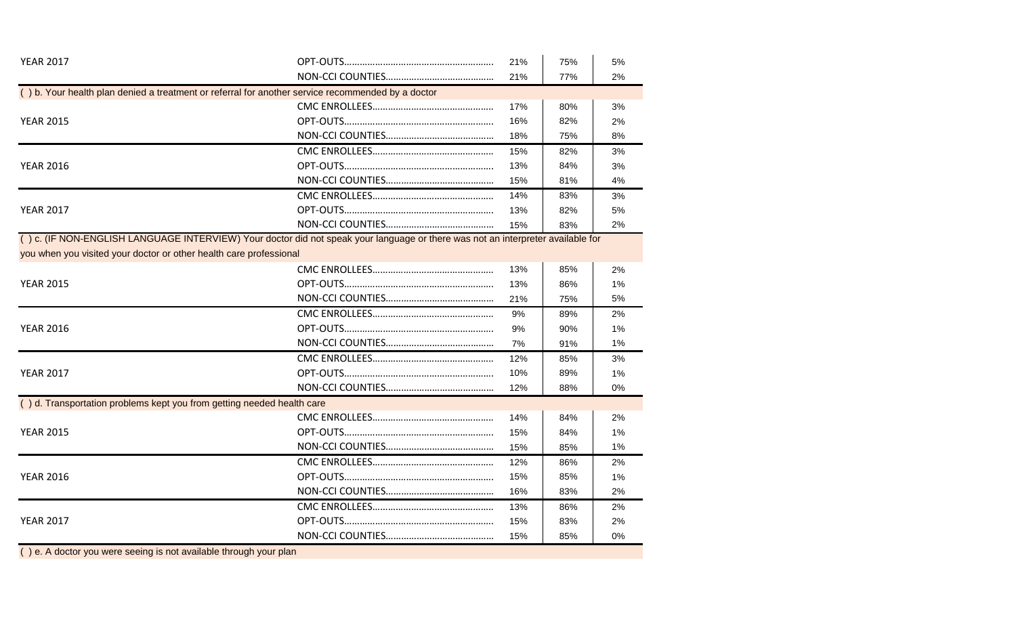| <b>YEAR 2017</b>                                                                                                                 | 21% | 75% | 5%    |
|----------------------------------------------------------------------------------------------------------------------------------|-----|-----|-------|
|                                                                                                                                  | 21% | 77% | 2%    |
| () b. Your health plan denied a treatment or referral for another service recommended by a doctor                                |     |     |       |
|                                                                                                                                  | 17% | 80% | 3%    |
| <b>YEAR 2015</b>                                                                                                                 | 16% | 82% | 2%    |
|                                                                                                                                  | 18% | 75% | 8%    |
|                                                                                                                                  | 15% | 82% | 3%    |
| <b>YEAR 2016</b>                                                                                                                 | 13% | 84% | 3%    |
|                                                                                                                                  | 15% | 81% | 4%    |
|                                                                                                                                  | 14% | 83% | 3%    |
| <b>YEAR 2017</b>                                                                                                                 | 13% | 82% | 5%    |
|                                                                                                                                  | 15% | 83% | 2%    |
| (c) c. (IF NON-ENGLISH LANGUAGE INTERVIEW) Your doctor did not speak your language or there was not an interpreter available for |     |     |       |
| you when you visited your doctor or other health care professional                                                               |     |     |       |
|                                                                                                                                  | 13% | 85% | 2%    |
| <b>YEAR 2015</b>                                                                                                                 | 13% | 86% | 1%    |
|                                                                                                                                  | 21% | 75% | 5%    |
|                                                                                                                                  | 9%  | 89% | 2%    |
| <b>YEAR 2016</b>                                                                                                                 | 9%  | 90% | 1%    |
|                                                                                                                                  | 7%  | 91% | $1\%$ |
|                                                                                                                                  | 12% | 85% | 3%    |
| <b>YEAR 2017</b>                                                                                                                 | 10% | 89% | 1%    |
|                                                                                                                                  | 12% | 88% | 0%    |
| () d. Transportation problems kept you from getting needed health care                                                           |     |     |       |
|                                                                                                                                  | 14% | 84% | 2%    |
| <b>YEAR 2015</b>                                                                                                                 | 15% | 84% | $1\%$ |
|                                                                                                                                  | 15% | 85% | 1%    |
|                                                                                                                                  | 12% | 86% | 2%    |
| <b>YEAR 2016</b>                                                                                                                 | 15% | 85% | 1%    |
|                                                                                                                                  | 16% | 83% | 2%    |
|                                                                                                                                  | 13% | 86% | 2%    |
| <b>YEAR 2017</b>                                                                                                                 | 15% | 83% | 2%    |
|                                                                                                                                  | 15% | 85% | 0%    |
| () e. A doctor you were seeing is not available through your plan                                                                |     |     |       |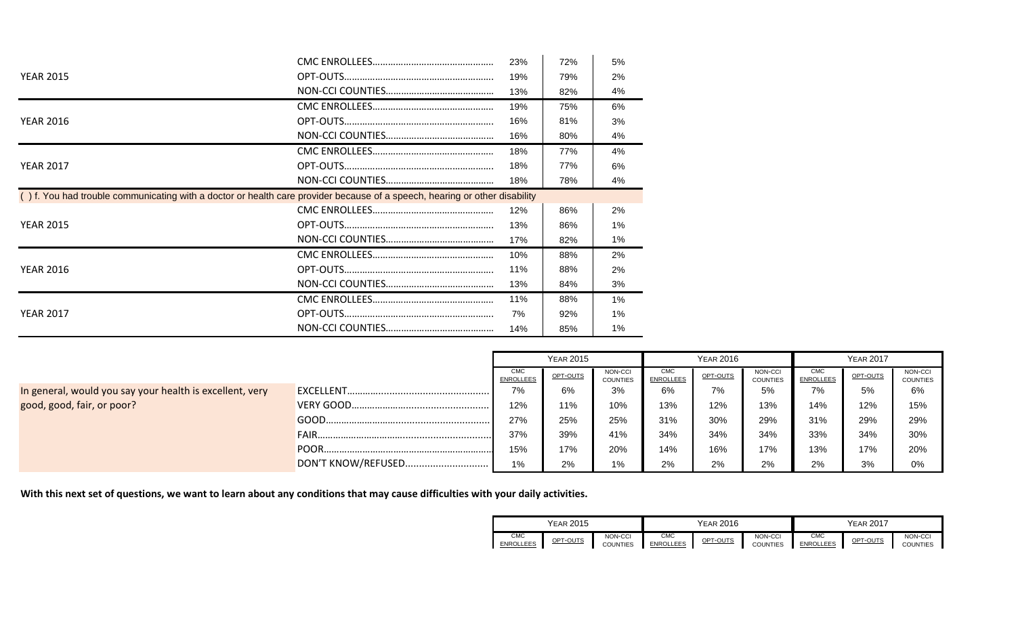|                                                                                                                            | 23% | 72% | 5%    |
|----------------------------------------------------------------------------------------------------------------------------|-----|-----|-------|
| <b>YEAR 2015</b>                                                                                                           | 19% | 79% | 2%    |
|                                                                                                                            | 13% | 82% | 4%    |
|                                                                                                                            | 19% | 75% | 6%    |
| <b>YEAR 2016</b>                                                                                                           | 16% | 81% | 3%    |
|                                                                                                                            | 16% | 80% | 4%    |
|                                                                                                                            | 18% | 77% | 4%    |
| <b>YEAR 2017</b>                                                                                                           | 18% | 77% | 6%    |
|                                                                                                                            | 18% | 78% | 4%    |
| () f. You had trouble communicating with a doctor or health care provider because of a speech, hearing or other disability |     |     |       |
|                                                                                                                            | 12% | 86% | 2%    |
| <b>YEAR 2015</b>                                                                                                           | 13% | 86% | $1\%$ |
|                                                                                                                            | 17% | 82% | $1\%$ |
|                                                                                                                            | 10% | 88% | 2%    |
| <b>YEAR 2016</b>                                                                                                           | 11% | 88% | 2%    |
|                                                                                                                            | 13% | 84% | 3%    |
|                                                                                                                            | 11% | 88% | 1%    |
| <b>YEAR 2017</b>                                                                                                           | 7%  | 92% | $1\%$ |
|                                                                                                                            | 14% | 85% | 1%    |

|                                                          |                    | <b>YEAR 2015</b>               |          |                            | <b>YEAR 2016</b>               |          |                            | <b>YEAR 2017</b>               |          |                            |
|----------------------------------------------------------|--------------------|--------------------------------|----------|----------------------------|--------------------------------|----------|----------------------------|--------------------------------|----------|----------------------------|
|                                                          |                    | <b>CMC</b><br><b>ENROLLEES</b> | OPT-OUTS | NON-CCI<br><b>COUNTIES</b> | <b>CMC</b><br><b>ENROLLEES</b> | OPT-OUTS | NON-CCI<br><b>COUNTIES</b> | <b>CMC</b><br><b>ENROLLEES</b> | OPT-OUTS | NON-CCI<br><b>COUNTIES</b> |
| In general, would you say your health is excellent, very |                    | 7%                             | 6%       | 3%                         | 6%                             | 7%       | 5%                         | 7%                             | 5%       | 6%                         |
| good, good, fair, or poor?                               |                    | 12%                            | 11%      | 10%                        | 13%                            | 12%      | 13%                        | 14%                            | 12%      | 15%                        |
|                                                          | GOOD.              | 27%                            | 25%      | 25%                        | 31%                            | 30%      | 29%                        | 31%                            | 29%      | 29%                        |
|                                                          | FAIR.              | 37%                            | 39%      | 41%                        | 34%                            | 34%      | 34%                        | 33%                            | 34%      | 30%                        |
|                                                          | POOR.              | 15%                            | 17%      | 20%                        | 14%                            | 16%      | 17%                        | 13%                            | 17%      | 20%                        |
|                                                          | DON'T KNOW/REFUSED | 1%                             | 2%       | 1%                         | 2%                             | 2%       | 2%                         | 2%                             | 3%       | 0%                         |

**With this next set of questions, we want to learn about any conditions that may cause difficulties with your daily activities.**

|                         | YEAR 2015 |                            |                         | YEAR 2016 |                     |                         | YEAR 2017 |                            |  |  |
|-------------------------|-----------|----------------------------|-------------------------|-----------|---------------------|-------------------------|-----------|----------------------------|--|--|
| CMC<br><b>ENROLLEES</b> | OPT-OUTS  | NON-CCI<br><b>COUNTIES</b> | CMC<br><b>ENROLLEES</b> | OPT-OUTS  | NON-CCI<br>COUNTIES | CMC<br><b>ENROLLEES</b> | OPT-OUTS  | NON-CCI<br><b>COUNTIES</b> |  |  |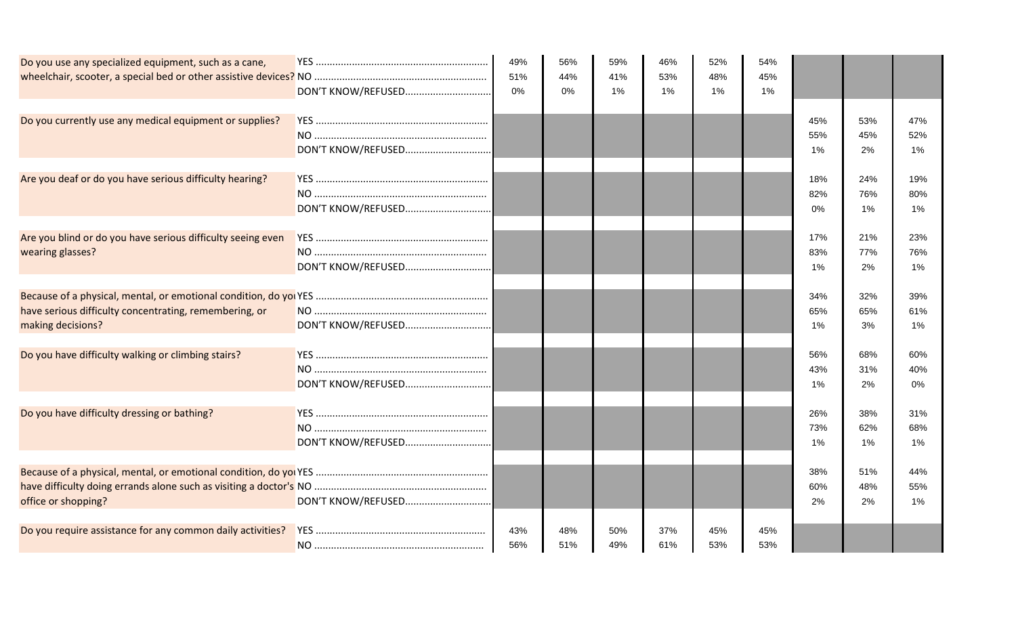| Do you use any specialized equipment, such as a cane,                           | DON'T KNOW/REFUSED | 49%<br>51%<br>0% | 56%<br>44%<br>0% | 59%<br>41%<br>1% | 46%<br>53%<br>1% | 52%<br>48%<br>1% | 54%<br>45%<br>1% |                     |                  |                     |
|---------------------------------------------------------------------------------|--------------------|------------------|------------------|------------------|------------------|------------------|------------------|---------------------|------------------|---------------------|
| Do you currently use any medical equipment or supplies?                         |                    |                  |                  |                  |                  |                  |                  | 45%<br>55%<br>$1\%$ | 53%<br>45%<br>2% | 47%<br>52%<br>1%    |
| Are you deaf or do you have serious difficulty hearing?                         | DON'T KNOW/REFUSED |                  |                  |                  |                  |                  |                  | 18%<br>82%<br>0%    | 24%<br>76%<br>1% | 19%<br>80%<br>1%    |
| Are you blind or do you have serious difficulty seeing even<br>wearing glasses? |                    |                  |                  |                  |                  |                  |                  | 17%<br>83%<br>1%    | 21%<br>77%<br>2% | 23%<br>76%<br>1%    |
| have serious difficulty concentrating, remembering, or<br>making decisions?     |                    |                  |                  |                  |                  |                  |                  | 34%<br>65%<br>1%    | 32%<br>65%<br>3% | 39%<br>61%<br>1%    |
| Do you have difficulty walking or climbing stairs?                              |                    |                  |                  |                  |                  |                  |                  | 56%<br>43%<br>$1\%$ | 68%<br>31%<br>2% | 60%<br>40%<br>0%    |
| Do you have difficulty dressing or bathing?                                     |                    |                  |                  |                  |                  |                  |                  | 26%<br>73%<br>$1\%$ | 38%<br>62%<br>1% | 31%<br>68%<br>$1\%$ |
| office or shopping?                                                             |                    |                  |                  |                  |                  |                  |                  | 38%<br>60%<br>2%    | 51%<br>48%<br>2% | 44%<br>55%<br>1%    |
| Do you require assistance for any common daily activities?                      |                    | 43%<br>56%       | 48%<br>51%       | 50%<br>49%       | 37%<br>61%       | 45%<br>53%       | 45%<br>53%       |                     |                  |                     |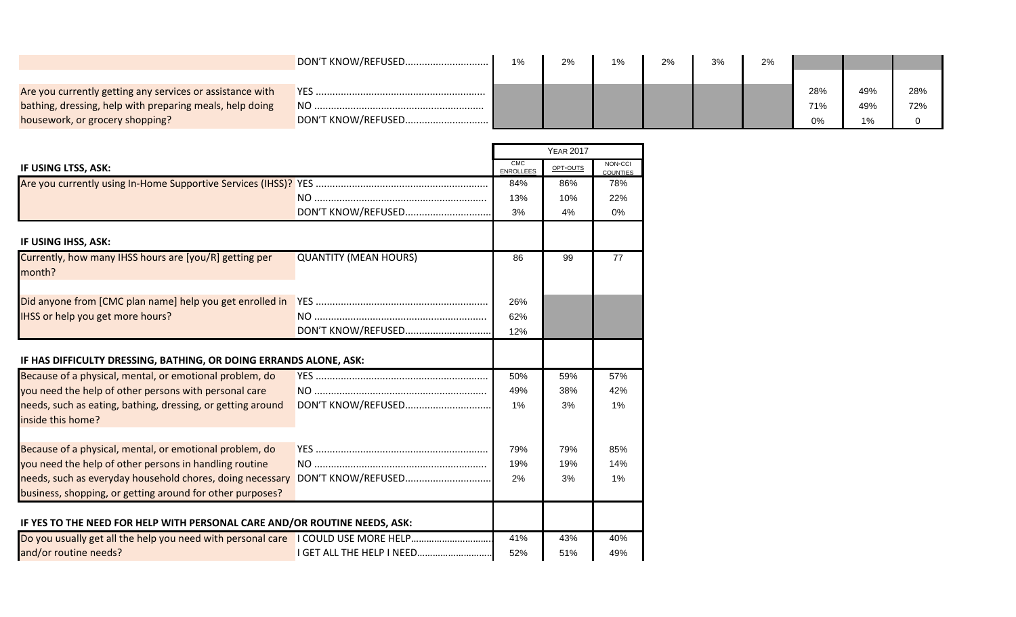|                                                           | DON'T KNOW/REFUSED | 1% | 2% | 1% | 2% | 3% | 2% |     |     |     |
|-----------------------------------------------------------|--------------------|----|----|----|----|----|----|-----|-----|-----|
|                                                           |                    |    |    |    |    |    |    |     |     |     |
| Are you currently getting any services or assistance with |                    |    |    |    |    |    |    | 28% | 49% | 28% |
| bathing, dressing, help with preparing meals, help doing  | N <sub>O</sub>     |    |    |    |    |    |    | 71% | 49% | 72% |
| housework, or grocery shopping?                           |                    |    |    |    |    |    |    | 0%  | 1%  |     |

|                                                                                                                        |                              |                         | <b>YEAR 2017</b> |                            |
|------------------------------------------------------------------------------------------------------------------------|------------------------------|-------------------------|------------------|----------------------------|
| IF USING LTSS, ASK:                                                                                                    |                              | CMC<br><b>ENROLLEES</b> | OPT-OUTS         | NON-CCI<br><b>COUNTIES</b> |
|                                                                                                                        |                              | 84%                     | 86%              | 78%                        |
|                                                                                                                        |                              | 13%                     | 10%              | 22%                        |
|                                                                                                                        | DON'T KNOW/REFUSED           | 3%                      | 4%               | 0%                         |
| IF USING IHSS, ASK:                                                                                                    |                              |                         |                  |                            |
| Currently, how many IHSS hours are [you/R] getting per<br>month?                                                       | <b>QUANTITY (MEAN HOURS)</b> | 86                      | 99               | 77                         |
| Did anyone from [CMC plan name] help you get enrolled in                                                               |                              | 26%                     |                  |                            |
| IHSS or help you get more hours?                                                                                       |                              | 62%                     |                  |                            |
|                                                                                                                        | DON'T KNOW/REFUSED           | 12%                     |                  |                            |
| IF HAS DIFFICULTY DRESSING, BATHING, OR DOING ERRANDS ALONE, ASK:                                                      |                              |                         |                  |                            |
| Because of a physical, mental, or emotional problem, do                                                                |                              | 50%                     | 59%              | 57%                        |
| you need the help of other persons with personal care                                                                  |                              | 49%                     | 38%              | 42%                        |
| needs, such as eating, bathing, dressing, or getting around<br>inside this home?                                       | DON'T KNOW/REFUSED           | 1%                      | 3%               | 1%                         |
|                                                                                                                        |                              |                         |                  |                            |
| Because of a physical, mental, or emotional problem, do                                                                |                              | 79%                     | 79%              | 85%                        |
| you need the help of other persons in handling routine                                                                 |                              | 19%                     | 19%              | 14%                        |
| needs, such as everyday household chores, doing necessary<br>business, shopping, or getting around for other purposes? | DON'T KNOW/REFUSED           | 2%                      | 3%               | 1%                         |
| IF YES TO THE NEED FOR HELP WITH PERSONAL CARE AND/OR ROUTINE NEEDS, ASK:                                              |                              |                         |                  |                            |
| Do you usually get all the help you need with personal care I COULD USE MORE HELP                                      |                              | 41%                     | 43%              | 40%                        |
| and/or routine needs?                                                                                                  |                              | 52%                     | 51%              | 49%                        |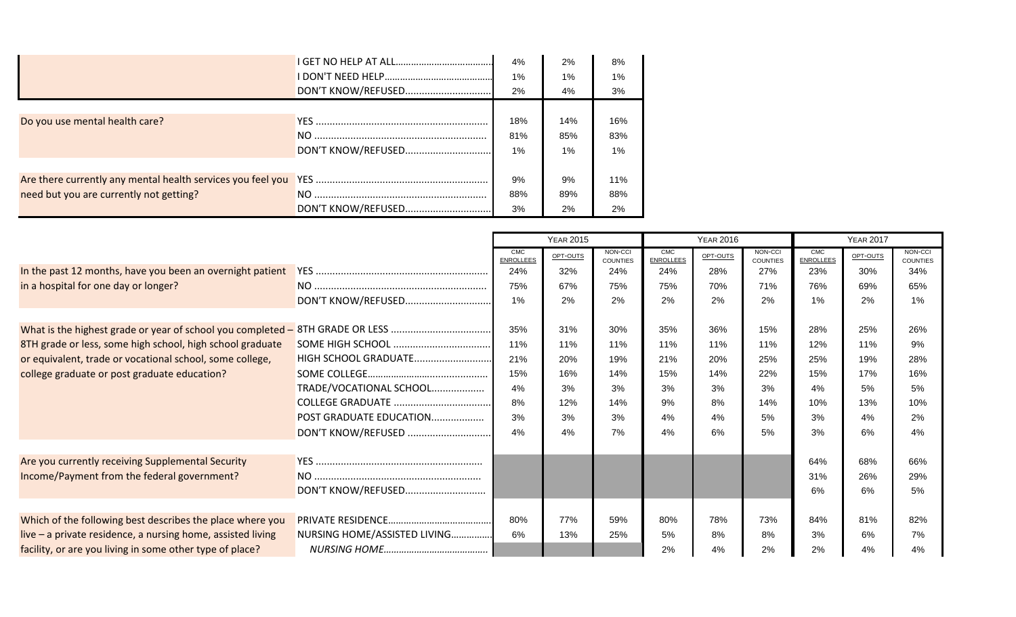|                                         |                    | 4%    | 2%    | 8%    |
|-----------------------------------------|--------------------|-------|-------|-------|
|                                         |                    | 1%    | $1\%$ | $1\%$ |
|                                         | DON'T KNOW/REFUSED | 2%    | 4%    | 3%    |
|                                         |                    |       |       |       |
| Do you use mental health care?          |                    | 18%   | 14%   | 16%   |
|                                         |                    | 81%   | 85%   | 83%   |
|                                         | DON'T KNOW/REFUSED | $1\%$ | $1\%$ | $1\%$ |
|                                         |                    |       |       |       |
|                                         |                    | 9%    | 9%    | 11%   |
| need but you are currently not getting? |                    | 88%   | 89%   | 88%   |
|                                         | DON'T KNOW/REFUSED | 3%    | 2%    | 2%    |

|                                                                               |                              | <b>YEAR 2015</b>               |          |                            | <b>YEAR 2016</b>               |          |                     | <b>YEAR 2017</b>               |          |                            |
|-------------------------------------------------------------------------------|------------------------------|--------------------------------|----------|----------------------------|--------------------------------|----------|---------------------|--------------------------------|----------|----------------------------|
|                                                                               |                              | <b>CMC</b><br><b>ENROLLEES</b> | OPT-OUTS | NON-CCI<br><b>COUNTIES</b> | <b>CMC</b><br><b>ENROLLEES</b> | OPT-OUTS | NON-CCI<br>COUNTIES | <b>CMC</b><br><b>ENROLLEES</b> | OPT-OUTS | NON-CCI<br><b>COUNTIES</b> |
| In the past 12 months, have you been an overnight patient                     |                              | 24%                            | 32%      | 24%                        | 24%                            | 28%      | 27%                 | 23%                            | 30%      | 34%                        |
| in a hospital for one day or longer?                                          |                              | 75%                            | 67%      | 75%                        | 75%                            | 70%      | 71%                 | 76%                            | 69%      | 65%                        |
|                                                                               | DON'T KNOW/REFUSED           | 1%                             | 2%       | 2%                         | 2%                             | 2%       | 2%                  | 1%                             | 2%       | 1%                         |
|                                                                               |                              |                                |          |                            |                                |          |                     |                                |          |                            |
| What is the highest grade or year of school you completed - 8TH GRADE OR LESS |                              | 35%                            | 31%      | 30%                        | 35%                            | 36%      | 15%                 | 28%                            | 25%      | 26%                        |
| 8TH grade or less, some high school, high school graduate                     |                              | 11%                            | 11%      | 11%                        | 11%                            | 11%      | 11%                 | 12%                            | 11%      | 9%                         |
| or equivalent, trade or vocational school, some college,                      | HIGH SCHOOL GRADUATE         | 21%                            | 20%      | 19%                        | 21%                            | 20%      | 25%                 | 25%                            | 19%      | 28%                        |
| college graduate or post graduate education?                                  |                              | 15%                            | 16%      | 14%                        | 15%                            | 14%      | 22%                 | 15%                            | 17%      | 16%                        |
|                                                                               | TRADE/VOCATIONAL SCHOOL      | 4%                             | 3%       | 3%                         | 3%                             | 3%       | 3%                  | 4%                             | 5%       | 5%                         |
|                                                                               |                              | 8%                             | 12%      | 14%                        | 9%                             | 8%       | 14%                 | 10%                            | 13%      | 10%                        |
|                                                                               | POST GRADUATE EDUCATION      | 3%                             | 3%       | 3%                         | 4%                             | 4%       | 5%                  | 3%                             | 4%       | 2%                         |
|                                                                               | DON'T KNOW/REFUSED           | 4%                             | 4%       | 7%                         | 4%                             | 6%       | 5%                  | 3%                             | 6%       | 4%                         |
|                                                                               |                              |                                |          |                            |                                |          |                     |                                |          |                            |
| Are you currently receiving Supplemental Security                             |                              |                                |          |                            |                                |          |                     | 64%                            | 68%      | 66%                        |
| Income/Payment from the federal government?                                   |                              |                                |          |                            |                                |          |                     | 31%                            | 26%      | 29%                        |
|                                                                               | DON'T KNOW/REFUSED           |                                |          |                            |                                |          |                     | 6%                             | 6%       | 5%                         |
|                                                                               |                              |                                |          |                            |                                |          |                     |                                |          |                            |
| Which of the following best describes the place where you                     |                              | 80%                            | 77%      | 59%                        | 80%                            | 78%      | 73%                 | 84%                            | 81%      | 82%                        |
| live $-$ a private residence, a nursing home, assisted living                 | NURSING HOME/ASSISTED LIVING | 6%                             | 13%      | 25%                        | 5%                             | 8%       | 8%                  | 3%                             | 6%       | 7%                         |
| facility, or are you living in some other type of place?                      |                              |                                |          |                            | 2%                             | 4%       | 2%                  | 2%                             | 4%       | 4%                         |

 $\mathbf{I}$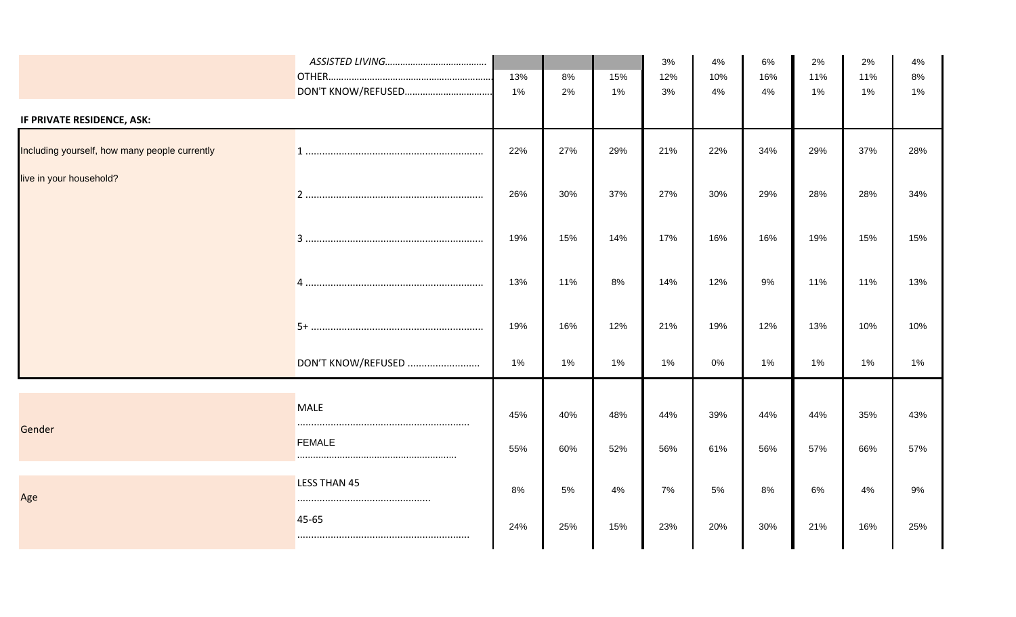|                                               |                              | 13%<br>1%  | 8%<br>2%   | 15%<br>1%  | 3%<br>12%<br>3% | 4%<br>10%<br>4% | 6%<br>16%<br>4% | 2%<br>11%<br>1% | 2%<br>11%<br>1% | 4%<br>8%<br>1% |
|-----------------------------------------------|------------------------------|------------|------------|------------|-----------------|-----------------|-----------------|-----------------|-----------------|----------------|
| IF PRIVATE RESIDENCE, ASK:                    |                              |            |            |            |                 |                 |                 |                 |                 |                |
| Including yourself, how many people currently |                              | 22%        | 27%        | 29%        | 21%             | 22%             | 34%             | 29%             | 37%             | 28%            |
| live in your household?                       |                              | 26%        | 30%        | 37%        | 27%             | 30%             | 29%             | 28%             | 28%             | 34%            |
|                                               |                              | 19%        | 15%        | 14%        | 17%             | 16%             | 16%             | 19%             | 15%             | 15%            |
|                                               |                              | 13%        | 11%        | 8%         | 14%             | 12%             | 9%              | 11%             | 11%             | 13%            |
|                                               |                              | 19%        | 16%        | 12%        | 21%             | 19%             | 12%             | 13%             | 10%             | 10%            |
|                                               | DON'T KNOW/REFUSED           | 1%         | 1%         | 1%         | 1%              | 0%              | 1%              | 1%              | $1\%$           | 1%             |
| Gender                                        | <b>MALE</b><br><b>FEMALE</b> | 45%<br>55% | 40%<br>60% | 48%<br>52% | 44%<br>56%      | 39%<br>61%      | 44%<br>56%      | 44%<br>57%      | 35%<br>66%      | 43%<br>57%     |
| Age                                           | <b>LESS THAN 45</b>          | 8%         | 5%         | 4%         | 7%              | 5%              | 8%              | 6%              | 4%              | 9%             |
|                                               | 45-65                        | 24%        | 25%        | 15%        | 23%             | 20%             | 30%             | 21%             | 16%             | 25%            |